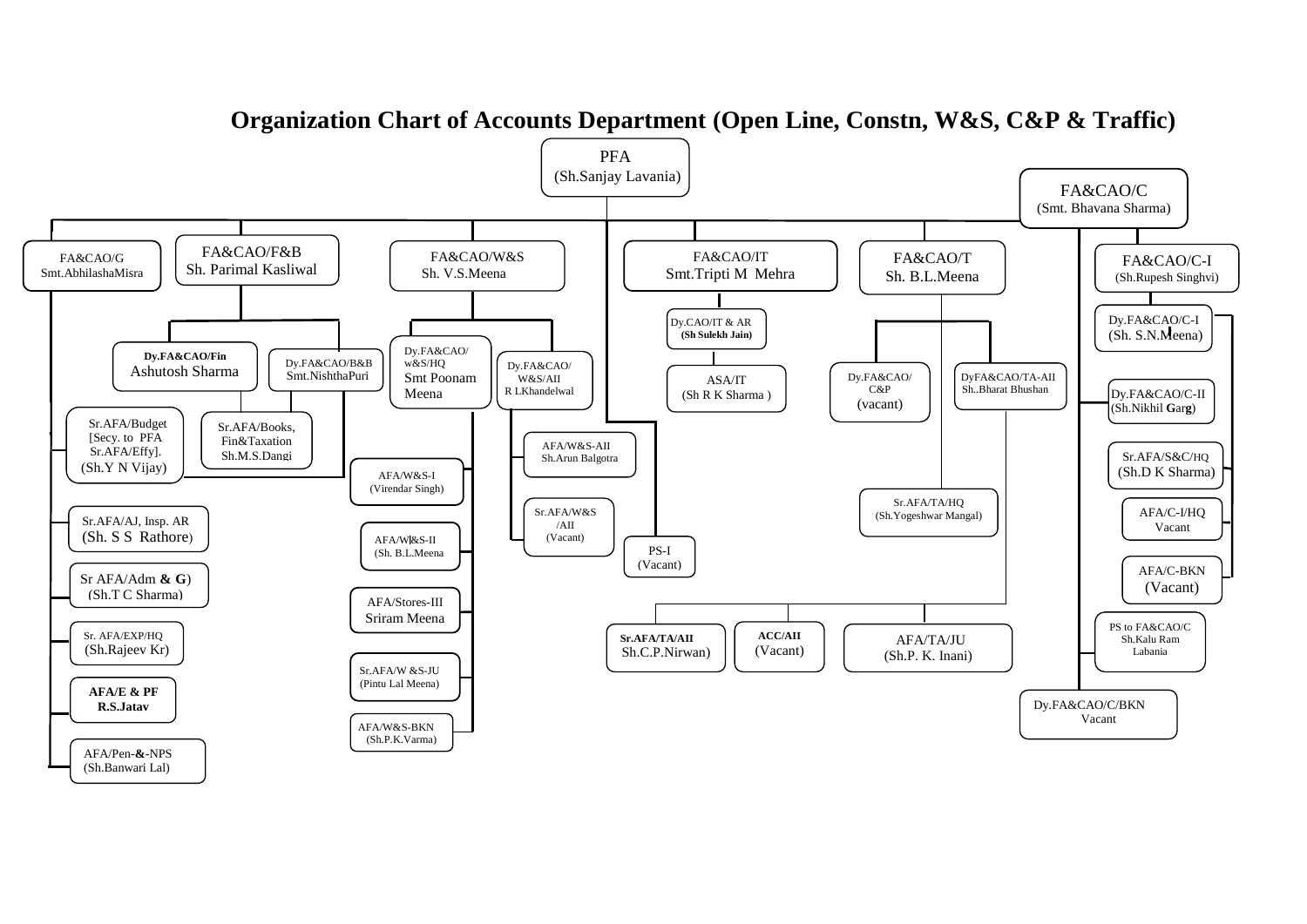

## **Organization Chart of Accounts Department (Open Line, Constn, W&S, C&P & Traffic)**